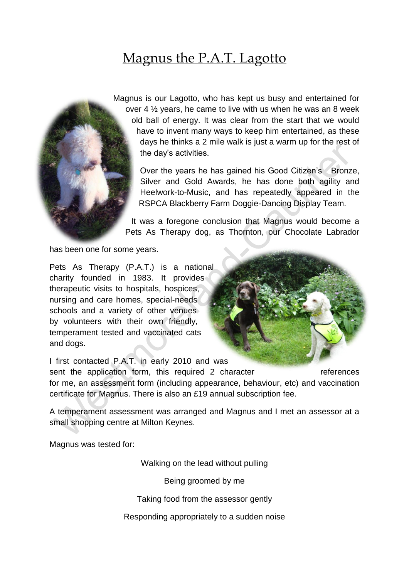## Magnus the P.A.T. Lagotto



Magnus is our Lagotto, who has kept us busy and entertained for over 4 ½ years, he came to live with us when he was an 8 week old ball of energy. It was clear from the start that we would have to invent many ways to keep him entertained, as these days he thinks a 2 mile walk is just a warm up for the rest of the day's activities.

> Over the years he has gained his Good Citizen's Bronze, Silver and Gold Awards, he has done both agility and Heelwork-to-Music, and has repeatedly appeared in the RSPCA Blackberry Farm Doggie-Dancing Display Team.

It was a foregone conclusion that Magnus would become a Pets As Therapy dog, as Thornton, our Chocolate Labrador

has been one for some years.

Pets As Therapy (P.A.T.) is a national charity founded in 1983. It provides therapeutic visits to hospitals, hospices, nursing and care homes, special-needs schools and a variety of other venues by volunteers with their own friendly, temperament tested and vaccinated cats and dogs.

I first contacted P.A.T. in early 2010 and was

sent the application form, this required 2 character references for me, an assessment form (including appearance, behaviour, etc) and vaccination certificate for Magnus. There is also an £19 annual subscription fee.

A temperament assessment was arranged and Magnus and I met an assessor at a small shopping centre at Milton Keynes.

Magnus was tested for:

Walking on the lead without pulling

Being groomed by me

Taking food from the assessor gently

Responding appropriately to a sudden noise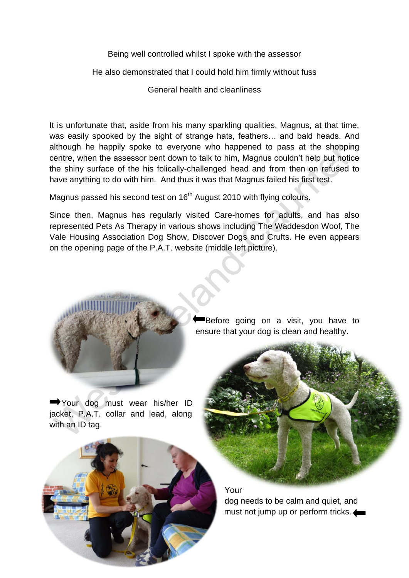Being well controlled whilst I spoke with the assessor

He also demonstrated that I could hold him firmly without fuss

General health and cleanliness

It is unfortunate that, aside from his many sparkling qualities, Magnus, at that time, was easily spooked by the sight of strange hats, feathers… and bald heads. And although he happily spoke to everyone who happened to pass at the shopping centre, when the assessor bent down to talk to him, Magnus couldn't help but notice the shiny surface of the his folically-challenged head and from then on refused to have anything to do with him. And thus it was that Magnus failed his first test.

Magnus passed his second test on  $16<sup>th</sup>$  August 2010 with flying colours.

Since then, Magnus has regularly visited Care-homes for adults, and has also represented Pets As Therapy in various shows including The Waddesdon Woof, The Vale Housing Association Dog Show, Discover Dogs and Crufts. He even appears on the opening page of the P.A.T. website (middle left picture).



Your dog must wear his/her ID jacket, P.A.T. collar and lead, along with an ID tag.

Before going on a visit, you have to ensure that your dog is clean and healthy.



Your dog needs to be calm and quiet, and must not jump up or perform tricks.